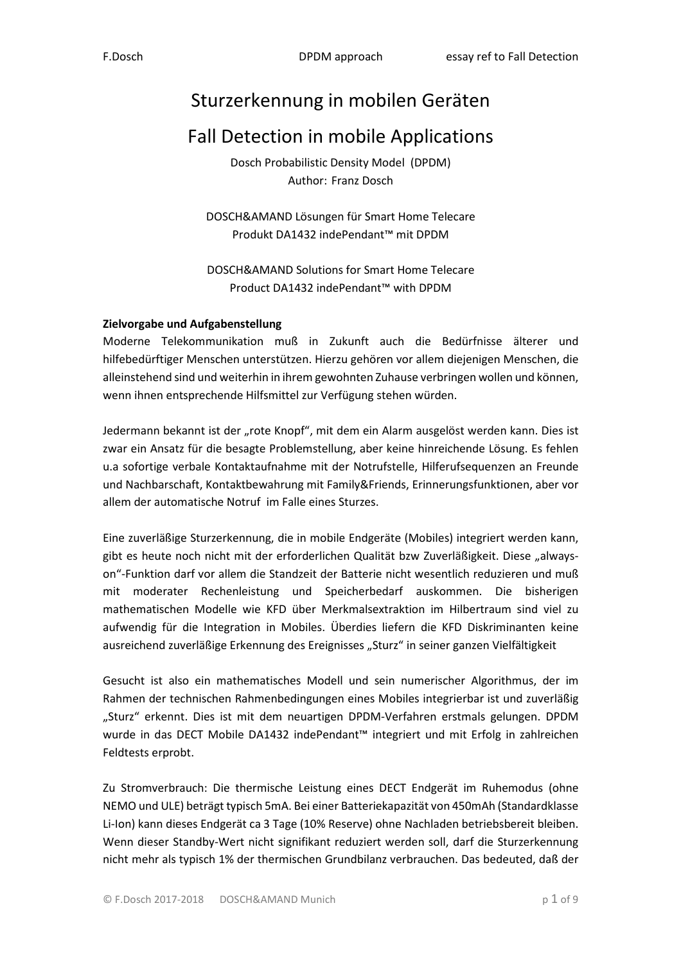# Sturzerkennung in mobilen Geräten

# Fall Detection in mobile Applications

Dosch Probabilistic Density Model (DPDM) Author: Franz Dosch

DOSCH&AMAND Lösungen für Smart Home Telecare Produkt DA1432 indePendant™ mit DPDM

DOSCH&AMAND Solutions for Smart Home Telecare Product DA1432 indePendant™ with DPDM

### **Zielvorgabe und Aufgabenstellung**

Moderne Telekommunikation muß in Zukunft auch die Bedürfnisse älterer und hilfebedürftiger Menschen unterstützen. Hierzu gehören vor allem diejenigen Menschen, die alleinstehend sind und weiterhin in ihrem gewohnten Zuhause verbringen wollen und können, wenn ihnen entsprechende Hilfsmittel zur Verfügung stehen würden.

Jedermann bekannt ist der "rote Knopf", mit dem ein Alarm ausgelöst werden kann. Dies ist zwar ein Ansatz für die besagte Problemstellung, aber keine hinreichende Lösung. Es fehlen u.a sofortige verbale Kontaktaufnahme mit der Notrufstelle, Hilferufsequenzen an Freunde und Nachbarschaft, Kontaktbewahrung mit Family&Friends, Erinnerungsfunktionen, aber vor allem der automatische Notruf im Falle eines Sturzes.

Eine zuverläßige Sturzerkennung, die in mobile Endgeräte (Mobiles) integriert werden kann, gibt es heute noch nicht mit der erforderlichen Qualität bzw Zuverläßigkeit. Diese "alwayson"-Funktion darf vor allem die Standzeit der Batterie nicht wesentlich reduzieren und muß mit moderater Rechenleistung und Speicherbedarf auskommen. Die bisherigen mathematischen Modelle wie KFD über Merkmalsextraktion im Hilbertraum sind viel zu aufwendig für die Integration in Mobiles. Überdies liefern die KFD Diskriminanten keine ausreichend zuverläßige Erkennung des Ereignisses "Sturz" in seiner ganzen Vielfältigkeit

Gesucht ist also ein mathematisches Modell und sein numerischer Algorithmus, der im Rahmen der technischen Rahmenbedingungen eines Mobiles integrierbar ist und zuverläßig "Sturz" erkennt. Dies ist mit dem neuartigen DPDM-Verfahren erstmals gelungen. DPDM wurde in das DECT Mobile DA1432 indePendant™ integriert und mit Erfolg in zahlreichen Feldtests erprobt.

Zu Stromverbrauch: Die thermische Leistung eines DECT Endgerät im Ruhemodus (ohne NEMO und ULE) beträgt typisch 5mA. Bei einer Batteriekapazität von 450mAh (Standardklasse Li-Ion) kann dieses Endgerät ca 3 Tage (10% Reserve) ohne Nachladen betriebsbereit bleiben. Wenn dieser Standby-Wert nicht signifikant reduziert werden soll, darf die Sturzerkennung nicht mehr als typisch 1% der thermischen Grundbilanz verbrauchen. Das bedeuted, daß der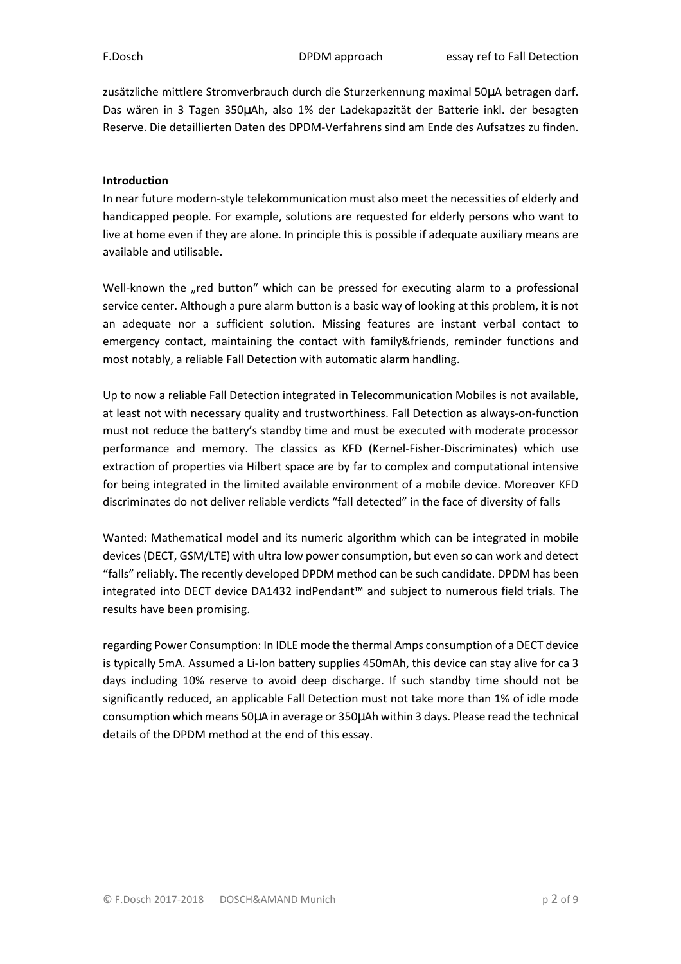zusätzliche mittlere Stromverbrauch durch die Sturzerkennung maximal 50µA betragen darf. Das wären in 3 Tagen 350µAh, also 1% der Ladekapazität der Batterie inkl. der besagten Reserve. Die detaillierten Daten des DPDM-Verfahrens sind am Ende des Aufsatzes zu finden.

### **Introduction**

In near future modern-style telekommunication must also meet the necessities of elderly and handicapped people. For example, solutions are requested for elderly persons who want to live at home even if they are alone. In principle this is possible if adequate auxiliary means are available and utilisable.

Well-known the "red button" which can be pressed for executing alarm to a professional service center. Although a pure alarm button is a basic way of looking at this problem, it is not an adequate nor a sufficient solution. Missing features are instant verbal contact to emergency contact, maintaining the contact with family&friends, reminder functions and most notably, a reliable Fall Detection with automatic alarm handling.

Up to now a reliable Fall Detection integrated in Telecommunication Mobiles is not available, at least not with necessary quality and trustworthiness. Fall Detection as always-on-function must not reduce the battery's standby time and must be executed with moderate processor performance and memory. The classics as KFD (Kernel-Fisher-Discriminates) which use extraction of properties via Hilbert space are by far to complex and computational intensive for being integrated in the limited available environment of a mobile device. Moreover KFD discriminates do not deliver reliable verdicts "fall detected" in the face of diversity of falls

Wanted: Mathematical model and its numeric algorithm which can be integrated in mobile devices (DECT, GSM/LTE) with ultra low power consumption, but even so can work and detect "falls" reliably. The recently developed DPDM method can be such candidate. DPDM has been integrated into DECT device DA1432 indPendant™ and subject to numerous field trials. The results have been promising.

regarding Power Consumption: In IDLE mode the thermal Amps consumption of a DECT device is typically 5mA. Assumed a Li-Ion battery supplies 450mAh, this device can stay alive for ca 3 days including 10% reserve to avoid deep discharge. If such standby time should not be significantly reduced, an applicable Fall Detection must not take more than 1% of idle mode consumption which means 50µA in average or 350µAh within 3 days. Please read the technical details of the DPDM method at the end of this essay.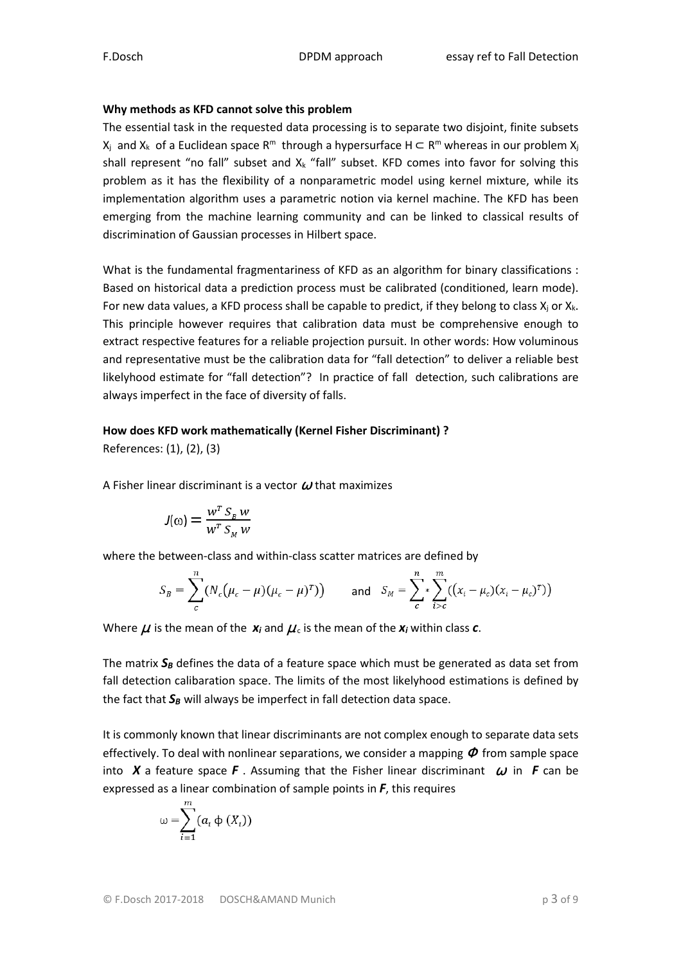### **Why methods as KFD cannot solve this problem**

The essential task in the requested data processing is to separate two disjoint, finite subsets  $X_i$  and  $X_k$  of a Euclidean space R<sup>m</sup> through a hypersurface H  $\subset$  R<sup>m</sup> whereas in our problem  $X_i$ shall represent "no fall" subset and  $X_k$  "fall" subset. KFD comes into favor for solving this problem as it has the flexibility of a nonparametric model using kernel mixture, while its implementation algorithm uses a parametric notion via kernel machine. The KFD has been emerging from the machine learning community and can be linked to classical results of discrimination of Gaussian processes in Hilbert space.

What is the fundamental fragmentariness of KFD as an algorithm for binary classifications : Based on historical data a prediction process must be calibrated (conditioned, learn mode). For new data values, a KFD process shall be capable to predict, if they belong to class  $X_i$  or  $X_k$ . This principle however requires that calibration data must be comprehensive enough to extract respective features for a reliable projection pursuit. In other words: How voluminous and representative must be the calibration data for "fall detection" to deliver a reliable best likelyhood estimate for "fall detection"? In practice of fall detection, such calibrations are always imperfect in the face of diversity of falls.

### **How does KFD work mathematically (Kernel Fisher Discriminant) ?**

References: (1), (2), (3)

A Fisher linear discriminant is a vector  $\boldsymbol{\omega}$  that maximizes

$$
J(\omega) = \frac{w^T S_B w}{w^T S_M w}
$$

where the between-class and within-class scatter matrices are defined by

$$
S_B = \sum_{c}^{n} (N_c (\mu_c - \mu) (\mu_c - \mu)^T) \quad \text{and} \quad S_M = \sum_{c}^{n} \sum_{i>c}^{m} ((x_i - \mu_c) (x_i - \mu_c)^T)
$$

Where  $\mu$  is the mean of the  $x_i$  and  $\mu_c$  is the mean of the  $x_i$  within class  $c$ .

The matrix  $S_B$  defines the data of a feature space which must be generated as data set from fall detection calibaration space. The limits of the most likelyhood estimations is defined by the fact that *S<sup>B</sup>* will always be imperfect in fall detection data space.

It is commonly known that linear discriminants are not complex enough to separate data sets effectively. To deal with nonlinear separations, we consider a mapping  $\Phi$  from sample space into **X** a feature space **F**. Assuming that the Fisher linear discriminant  $\omega$  in **F** can be expressed as a linear combination of sample points in *F*, this requires

$$
\omega = \sum_{i=1}^{m} (a_i \phi(X_i))
$$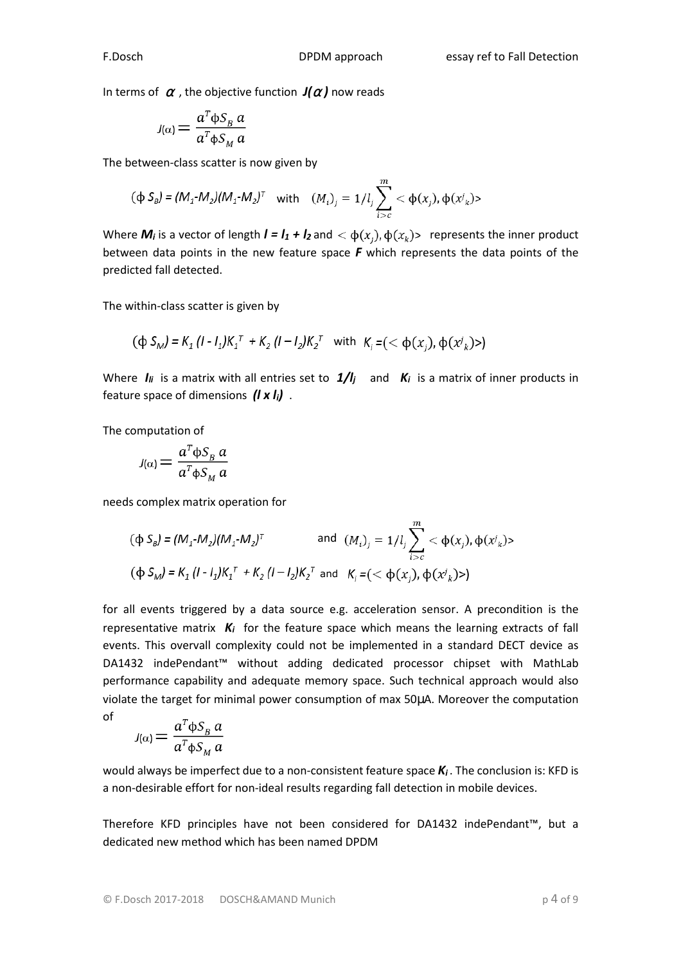In terms of  $\alpha$ , the objective function  $J(\alpha)$  now reads

$$
J(\alpha) = \frac{a^T \phi S_B a}{a^T \phi S_M a}
$$

The between-class scatter is now given by

$$
(\varphi S_{\beta}) = (M_1 \cdot M_2)(M_1 \cdot M_2)^T \quad \text{with} \quad (M_i)_j = 1/l_j \sum_{i>c}^m < \varphi(x_j), \varphi(x_k) >
$$

Where  $M_i$  is a vector of length  $I = I_1 + I_2$  and  $\langle \phi(x_i), \phi(x_k) \rangle$  represents the inner product between data points in the new feature space *F* which represents the data points of the predicted fall detected.

The within-class scatter is given by

$$
(\varphi S_M) = K_1 (I - I_1) K_1^T + K_2 (I - I_2) K_2^T \text{ with } K_i = (< \varphi(x_i), \varphi(x_i)>)
$$

Where  $I_{ij}$  is a matrix with all entries set to  $1/I_j$  and  $K_i$  is a matrix of inner products in feature space of dimensions *(l x li)* .

The computation of

$$
J(\alpha) = \frac{a^T \phi S_B a}{a^T \phi S_M a}
$$

needs complex matrix operation for

$$
(\Phi S_{B}) = (M_{1} \cdot M_{2})(M_{1} \cdot M_{2})^{T} \quad \text{and} \quad (M_{i})_{j} = 1/l_{j} \sum_{i>c}^{m} < \Phi(x_{j}), \Phi(x^{j}) >
$$
  

$$
(\Phi S_{M}) = K_{1} (I - I_{1}) K_{1}^{T} + K_{2} (I - I_{2}) K_{2}^{T} \text{ and } K_{j} = (< \Phi(x_{j}), \Phi(x^{j}) >)
$$

for all events triggered by a data source e.g. acceleration sensor. A precondition is the representative matrix *Ki* for the feature space which means the learning extracts of fall events. This overvall complexity could not be implemented in a standard DECT device as DA1432 indePendant™ without adding dedicated processor chipset with MathLab performance capability and adequate memory space. Such technical approach would also violate the target for minimal power consumption of max 50µA. Moreover the computation of

$$
J(\alpha) = \frac{a^T \phi S_B a}{a^T \phi S_M a}
$$

would always be imperfect due to a non-consistent feature space  $K_i$ . The conclusion is: KFD is a non-desirable effort for non-ideal results regarding fall detection in mobile devices.

Therefore KFD principles have not been considered for DA1432 indePendant™, but a dedicated new method which has been named DPDM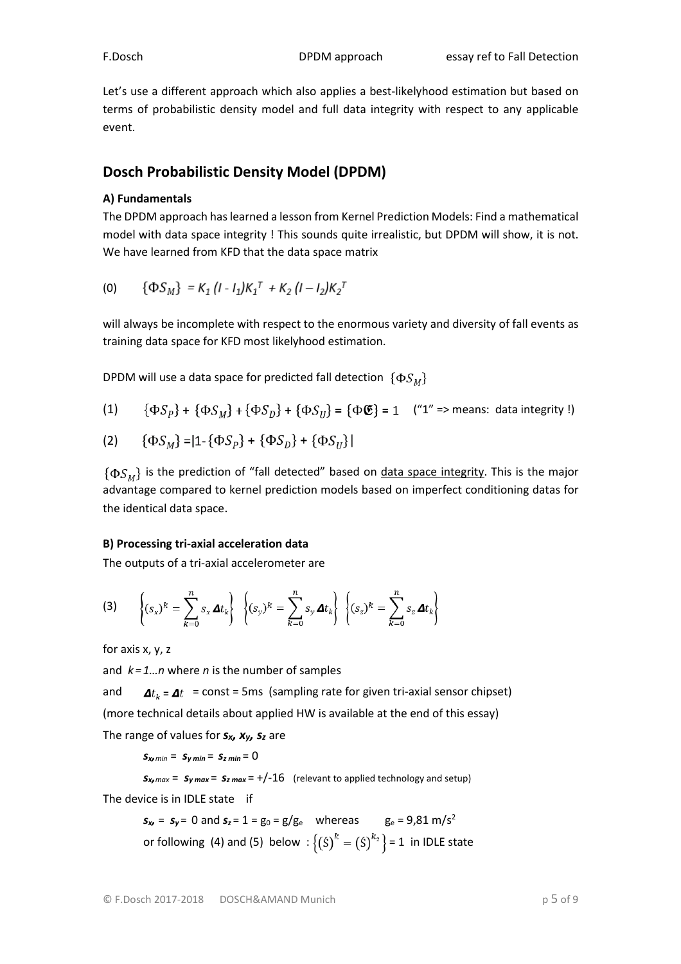Let's use a different approach which also applies a best-likelyhood estimation but based on terms of probabilistic density model and full data integrity with respect to any applicable event.

## **Dosch Probabilistic Density Model (DPDM)**

### **A) Fundamentals**

The DPDM approach has learned a lesson from Kernel Prediction Models: Find a mathematical model with data space integrity ! This sounds quite irrealistic, but DPDM will show, it is not. We have learned from KFD that the data space matrix

$$
(0) \qquad {\Phi S_M} = K_1 (I - I_1) K_1^T + K_2 (I - I_2) K_2^T
$$

will always be incomplete with respect to the enormous variety and diversity of fall events as training data space for KFD most likelyhood estimation.

DPDM will use a data space for predicted fall detection  $\{ \Phi S_{M} \}$ 

(1) 
$$
\{\Phi S_p\} + \{\Phi S_M\} + \{\Phi S_D\} + \{\Phi S_U\} = \{\Phi \mathfrak{E}\} = 1
$$
 ("1" => means: data integrity !)

(2) 
$$
\{\Phi S_M\} = |1 - \{\Phi S_P\} + \{\Phi S_D\} + \{\Phi S_U\}|
$$

 $\{\Phi S_{\mu}\}\$  is the prediction of "fall detected" based on data space integrity. This is the major advantage compared to kernel prediction models based on imperfect conditioning datas for the identical data space.

### **B) Processing tri-axial acceleration data**

The outputs of a tri-axial accelerometer are

$$
\textbf{(3)} \qquad \left\{ (s_x)^k = \sum_{k=0}^n s_x \, \Delta t_k \right\} \; \left\{ (s_y)^k = \sum_{k=0}^n s_y \, \Delta t_k \right\} \; \left\{ (s_z)^k = \sum_{k=0}^n s_z \, \Delta t_k \right\}
$$

for axis x, y, z

and *k = 1…n* where *n* is the number of samples

and  $\Delta t_k = \Delta t$  = const = 5ms (sampling rate for given tri-axial sensor chipset) (more technical details about applied HW is available at the end of this essay) The range of values for *sx, xy, s<sup>z</sup>* are

 $S_{x}$ *min* =  $S_{y}$ *min* =  $S_{z}$ *min* = 0

 $s_{x \text{max}} = s_{y \text{max}} = s_{z \text{max}} = +/-16$  (relevant to applied technology and setup)

The device is in IDLE state if

$$
s_x = s_y = 0
$$
 and  $s_z = 1 = g_0 = g/g_e$  whereas  $g_e = 9.81 \text{ m/s}^2$   
or following (4) and (5) below :  $\{(s)^k = (s)^{k_2}\} = 1$  in IDLE state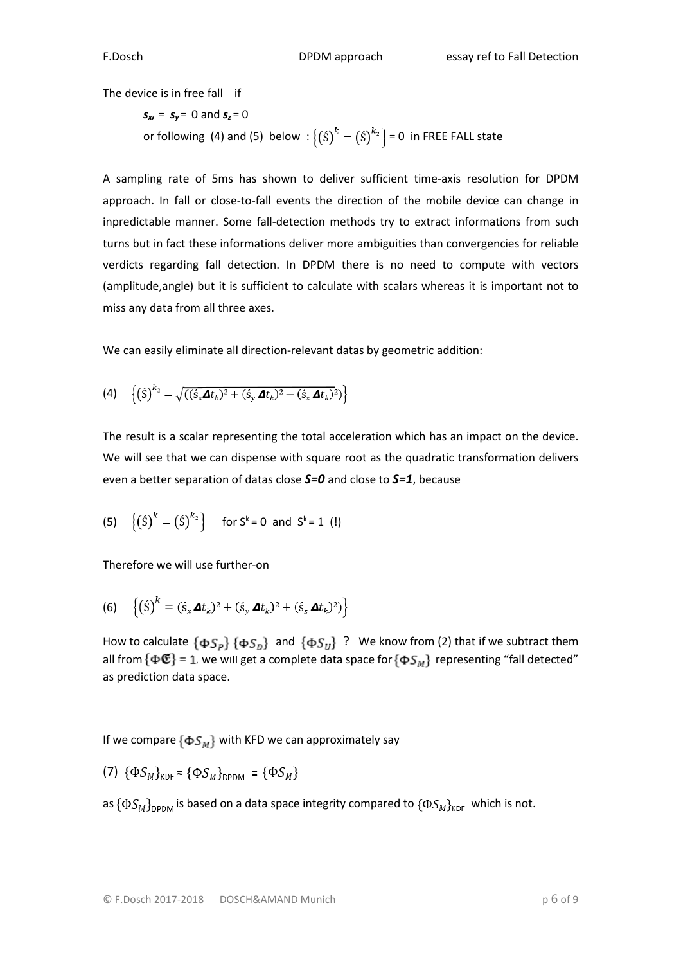The device is in free fall if

$$
s_w = s_y = 0
$$
 and  $s_z = 0$   
or following (4) and (5) below :  $\{(s)^k = (s)^{k_2}\}=0$  in FREE FALL state

A sampling rate of 5ms has shown to deliver sufficient time-axis resolution for DPDM approach. In fall or close-to-fall events the direction of the mobile device can change in inpredictable manner. Some fall-detection methods try to extract informations from such turns but in fact these informations deliver more ambiguities than convergencies for reliable verdicts regarding fall detection. In DPDM there is no need to compute with vectors (amplitude,angle) but it is sufficient to calculate with scalars whereas it is important not to miss any data from all three axes.

We can easily eliminate all direction-relevant datas by geometric addition:

$$
(4) \quad \left\{ \left( \acute{\mathbf{S}} \right)^{k_2} = \sqrt{((\acute{s}_x \mathbf{\Delta} t_k)^2 + (\acute{s}_y \mathbf{\Delta} t_k)^2 + (\acute{s}_z \mathbf{\Delta} t_k)^2)} \right\}
$$

The result is a scalar representing the total acceleration which has an impact on the device. We will see that we can dispense with square root as the quadratic transformation delivers even a better separation of datas close *S=0* and close to *S=1*, because

(5) 
$$
\{(s)^k = (s)^{k_2}\}\
$$
 for  $s^k = 0$  and  $s^k = 1$  (!)

Therefore we will use further-on

(6) 
$$
\{(S)^k = (s_x \mathbf{\Delta} t_k)^2 + (s_y \mathbf{\Delta} t_k)^2 + (s_z \mathbf{\Delta} t_k)^2\}
$$

How to calculate  $\{\Phi S_n\}$   $\{\Phi S_n\}$  and  $\{\Phi S_n\}$  ? We know from (2) that if we subtract them all from  $\{\Phi \mathfrak{E}\}=1$ , we will get a complete data space for  $\{\Phi S_M\}$  representing "fall detected" as prediction data space.

If we compare  $\{\Phi S_M\}$  with KFD we can approximately say

(7) 
$$
\{\Phi S_M\}_{KDF} \approx \{\Phi S_M\}_{DPDM} = \{\Phi S_M\}
$$

as  $\{\Phi S_M\}_{\text{DPDM}}$  is based on a data space integrity compared to  $\{\Phi S_M\}_{\text{KDF}}$  which is not.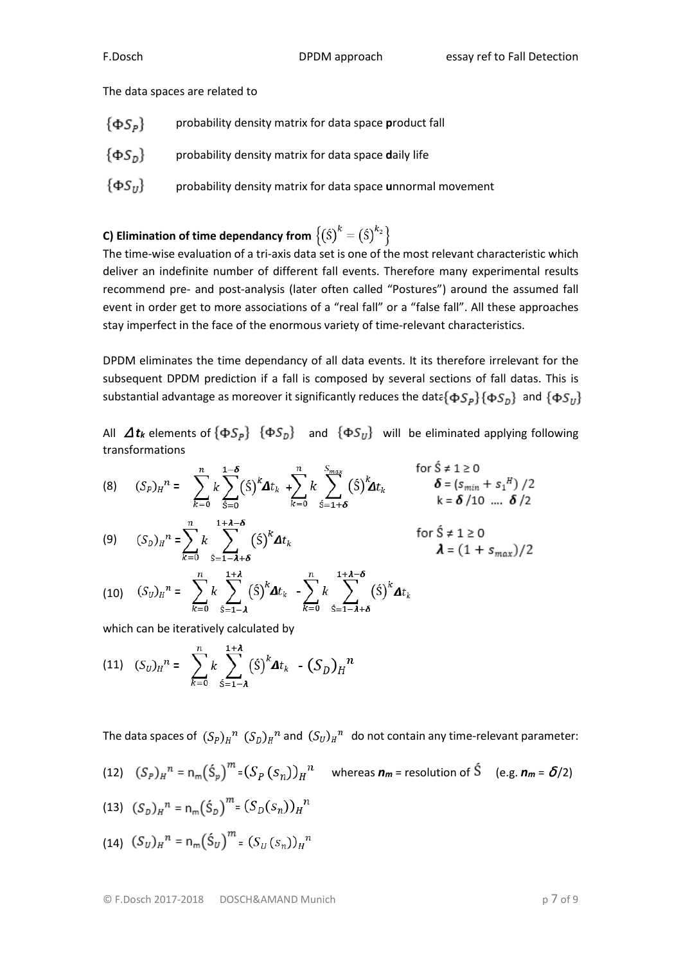The data spaces are related to

- $\{\Phi S_p\}$ probability density matrix for data space **p**roduct fall
- probability density matrix for data space **d**aily life
- $\{\Phi S_{II}\}$  probability density matrix for data space **u**nnormal movement

# **C) Elimination of time dependancy from**  $\left\{\left(\hat{S}\right)^k = \left(\hat{S}\right)^{k_2}\right\}$

The time-wise evaluation of a tri-axis data set is one of the most relevant characteristic which deliver an indefinite number of different fall events. Therefore many experimental results recommend pre- and post-analysis (later often called "Postures") around the assumed fall event in order get to more associations of a "real fall" or a "false fall". All these approaches stay imperfect in the face of the enormous variety of time-relevant characteristics.

DPDM eliminates the time dependancy of all data events. It its therefore irrelevant for the subsequent DPDM prediction if a fall is composed by several sections of fall datas. This is substantial advantage as moreover it significantly reduces the data  $\{\Phi S_n\}$   $\{\Phi S_n\}$  and  $\{\Phi S_n\}$ 

All  $\Delta t_k$  elements of  $\{\Phi S_p\}$   $\{\Phi S_p\}$  and  $\{\Phi S_v\}$  will be eliminated applying following transformations

$$
(8) \quad (S_p)_H^n = \sum_{k=0}^n k \sum_{\hat{S}=0}^{1-\delta} (\hat{S})^k \Delta t_k + \sum_{k=0}^n k \sum_{\hat{S}=1+\delta}^{S_{max}} (\hat{S})^k \Delta t_k \qquad \text{for } S \neq 1 \geq 0
$$
  
\n $\delta = (s_{min} + s_1)^n / 2$   
\n $k = \delta / 10 \dots \delta / 2$ 

$$
(9) \t(S_D)_H{}^n = \sum_{k=0}^n k \sum_{\hat{s}=1-\lambda+\delta}^{1+\lambda-\delta} (\hat{s})^k \Delta t_k \t\t \text{for } \hat{s} \neq 1 \geq 0
$$
  

$$
\lambda = (1+s_{max})/2
$$

$$
(10) \quad (S_U)_H^{\mathit{n}} = \sum_{k=0}^n k \sum_{\hat{s}=1-\lambda}^{1+\lambda} (\hat{s})^k \Delta t_k - \sum_{k=0}^n k \sum_{\hat{s}=1-\lambda+\delta}^{1+\lambda-\delta} (\hat{s})^k \Delta t_k
$$

which can be iteratively calculated by

(11) 
$$
(S_U)_H^n = \sum_{k=0}^n k \sum_{\hat{s}=1-\lambda}^{1+\lambda} (\hat{s})^k \Delta t_k - (S_D)_H^n
$$

The data spaces of  $(S_p)_H^m (S_p)_H^m$  and  $(S_v)_H^m$  do not contain any time-relevant parameter:

(12) 
$$
(S_p)_H^n = n_m(\hat{S}_p)^m = (S_p(S_n))_H^n
$$
 whereas  $n_m$  = resolution of  $\hat{S}$  (e.g.  $n_m = \delta/2$ )

(13) 
$$
(S_D)_H^2 = n_m(\dot{S}_D)^m = (S_D(S_n))_H^n
$$

(14) 
$$
(S_U)_H^n = n_m(\hat{S}_U)^m = (S_U(s_n))_H^n
$$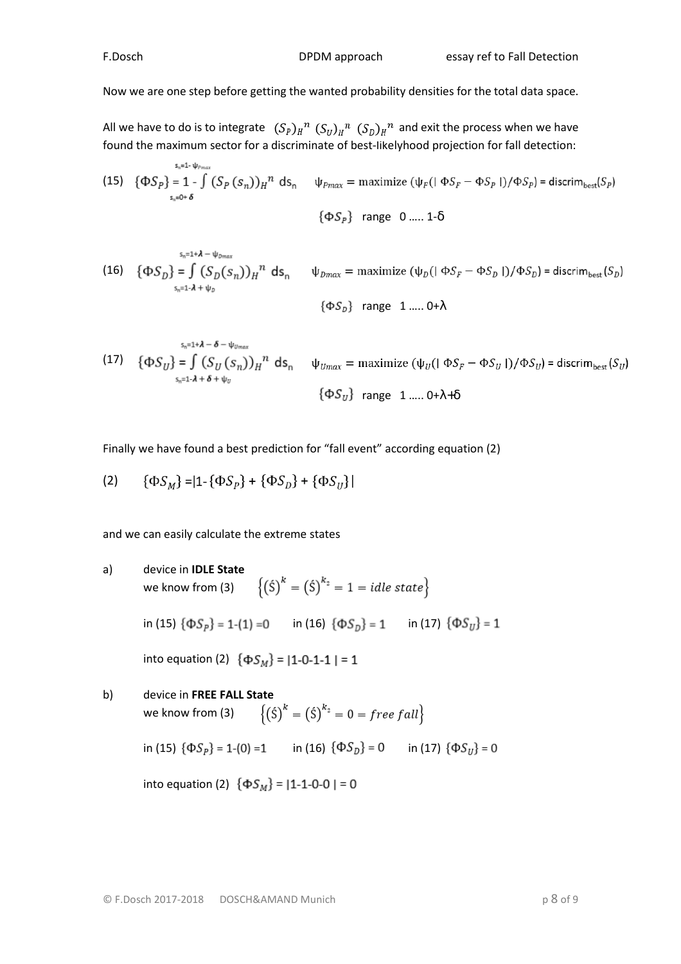Now we are one step before getting the wanted probability densities for the total data space.

All we have to do is to integrate  $(S_p)_H{}^n (S_v)_H{}^n (S_p)_H{}^n$  and exit the process when we have found the maximum sector for a discriminate of best-likelyhood projection for fall detection:

(15) 
$$
\{\Phi S_p\} = 1 - \int_{s_n=0+ \delta}^{s_n=1-\psi_{Pmax}} (S_p(s_n))_H^n ds_n \quad \psi_{Pmax} = \text{maximize } (\psi_F(|\Phi S_F - \Phi S_p|)/\Phi S_p) = \text{discrim}_{best}(S_p)
$$

$$
\{\Phi S_{P}\}\quad\text{range}\quad 0\ldots 1\text{-}\delta
$$

(16) 
$$
\{\Phi S_D\} = \int_{S_n=1 \cdot \lambda + \psi_D} (S_D(S_n))_H^n ds_n \quad \psi_{Dmax} = \text{maximize } (\psi_D(\|\Phi S_F - \Phi S_D\|)/\Phi S_D) = \text{discrim}_{\text{best}}(S_D)
$$

$$
\{\Phi S_D\} \text{ range } 1 \dots 0 + \lambda
$$

(17) 
$$
\{\Phi S_U\} = \int_{S_n=1 \cdot \lambda + \delta + \psi_U} (S_U(s_n))_H^n ds_n \quad \psi_{Umax} = \text{maximize } (\psi_U(\phi S_F - \phi S_U)) / \Phi S_U) = \text{discrim}_{\text{best}}(S_U)
$$

$$
\{\Phi S_U\} \text{ range } 1 \dots 0 + \lambda + \delta
$$

Finally we have found a best prediction for "fall event" according equation (2)

(2) 
$$
\{\Phi S_M\} = |1 - \{\Phi S_P\} + \{\Phi S_D\} + \{\Phi S_U\}|
$$

and we can easily calculate the extreme states

a) device in **IDLE State**  
\nwe know from (3) 
$$
\{(5)^k = (5)^{k_2} = 1 = idle state\}
$$
  
\nin (15)  $\{\Phi S_p\} = 1-(1) = 0$  in (16)  $\{\Phi S_p\} = 1$  in (17)  $\{\Phi S_y\} = 1$   
\ninto equation (2)  $\{\Phi S_M\} = |1-0-1-1| = 1$ 

b) device in **FREE FALL State**  
we know from (3) 
$$
\{(5)^k = (5)^{k_2} = 0 = free fall\}
$$
  
in (15)  $\{\Phi S_p\} = 1-(0) = 1$  in (16)  $\{\Phi S_p\} = 0$  in (17)  $\{\Phi S_y\} = 0$   
into equation (2)  $\{\Phi S_M\} = |1-1-0-0| = 0$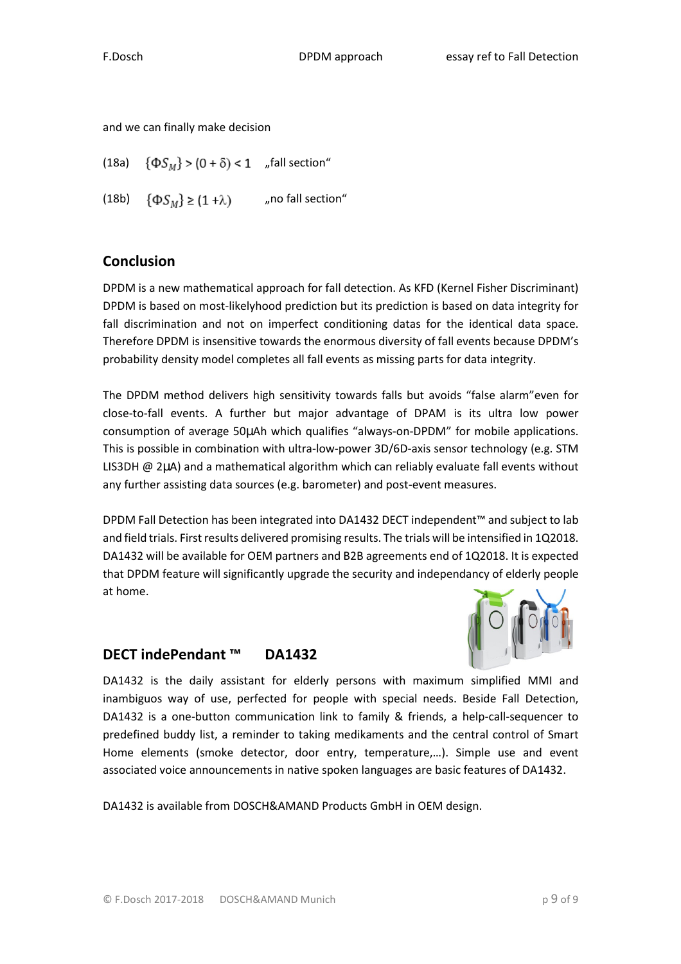and we can finally make decision

(18a)  $\{\Phi S_M\} > (0 + \delta) < 1$  "fall section" (18b)  $\{\Phi S_M\} \ge (1 + \lambda)$  , no fall section"

## **Conclusion**

DPDM is a new mathematical approach for fall detection. As KFD (Kernel Fisher Discriminant) DPDM is based on most-likelyhood prediction but its prediction is based on data integrity for fall discrimination and not on imperfect conditioning datas for the identical data space. Therefore DPDM is insensitive towards the enormous diversity of fall events because DPDM's probability density model completes all fall events as missing parts for data integrity.

The DPDM method delivers high sensitivity towards falls but avoids "false alarm"even for close-to-fall events. A further but major advantage of DPAM is its ultra low power consumption of average 50µAh which qualifies "always-on-DPDM" for mobile applications. This is possible in combination with ultra-low-power 3D/6D-axis sensor technology (e.g. STM LIS3DH @ 2µA) and a mathematical algorithm which can reliably evaluate fall events without any further assisting data sources (e.g. barometer) and post-event measures.

DPDM Fall Detection has been integrated into DA1432 DECT independent™ and subject to lab and field trials. First results delivered promising results. The trials will be intensified in 1Q2018. DA1432 will be available for OEM partners and B2B agreements end of 1Q2018. It is expected that DPDM feature will significantly upgrade the security and independancy of elderly people at home.

## **DECT indePendant ™ DA1432**

DA1432 is the daily assistant for elderly persons with maximum simplified MMI and inambiguos way of use, perfected for people with special needs. Beside Fall Detection, DA1432 is a one-button communication link to family & friends, a help-call-sequencer to predefined buddy list, a reminder to taking medikaments and the central control of Smart Home elements (smoke detector, door entry, temperature,…). Simple use and event associated voice announcements in native spoken languages are basic features of DA1432.

DA1432 is available from DOSCH&AMAND Products GmbH in OEM design.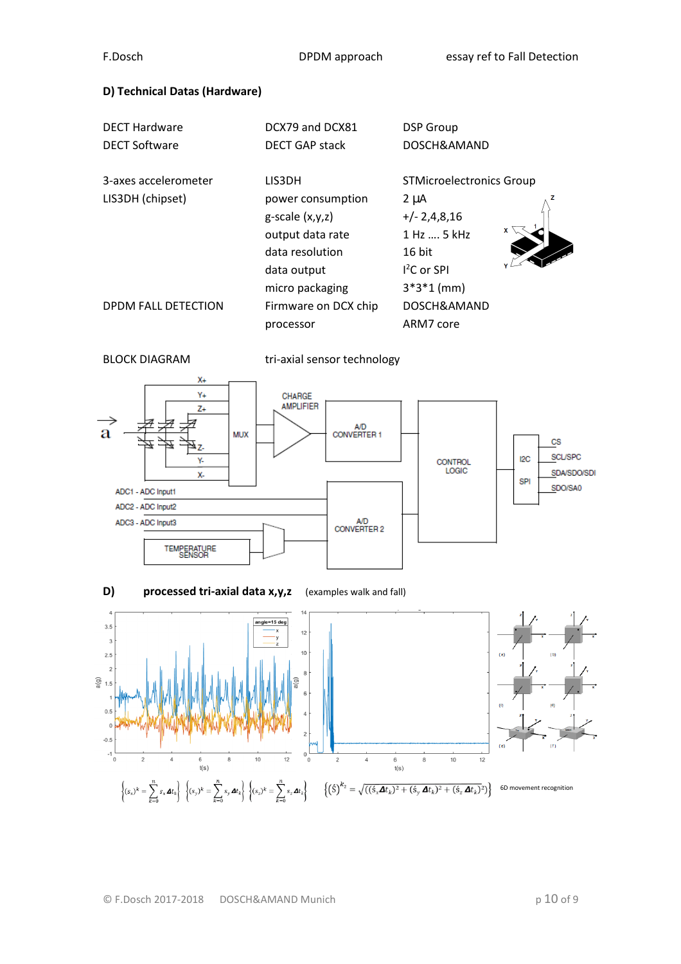### **D) Technical Datas (Hardware)**

| <b>DECT Hardware</b> | DCX79 and DCX81       | <b>DSP</b> Group                |
|----------------------|-----------------------|---------------------------------|
| <b>DECT Software</b> | <b>DECT GAP stack</b> | DOSCH&AMAND                     |
| 3-axes accelerometer | LIS3DH                | <b>STMicroelectronics Group</b> |
| LIS3DH (chipset)     | power consumption     | $2 \mu A$                       |
|                      | $g$ -scale $(x,y,z)$  | $+/- 2,4,8,16$                  |
|                      | output data rate      | 1 Hz  5 kHz                     |
|                      | data resolution       | 16 bit                          |
|                      | data output           | $12C$ or SPI                    |
|                      | micro packaging       | $3*3*1$ (mm)                    |
| DPDM FALL DETECTION  | Firmware on DCX chip  | DOSCH&AMAND                     |
|                      | processor             | ARM7 core                       |



BLOCK DIAGRAM tri-axial sensor technology